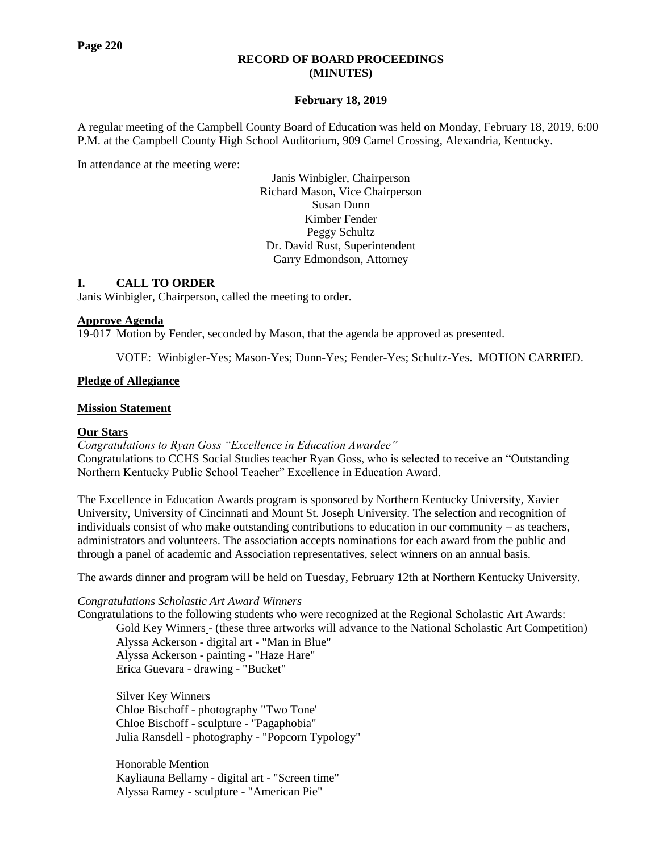### **RECORD OF BOARD PROCEEDINGS (MINUTES)**

### **February 18, 2019**

A regular meeting of the Campbell County Board of Education was held on Monday, February 18, 2019, 6:00 P.M. at the Campbell County High School Auditorium, 909 Camel Crossing, Alexandria, Kentucky.

In attendance at the meeting were:

Janis Winbigler, Chairperson Richard Mason, Vice Chairperson Susan Dunn Kimber Fender Peggy Schultz Dr. David Rust, Superintendent Garry Edmondson, Attorney

### **I. CALL TO ORDER**

Janis Winbigler, Chairperson, called the meeting to order.

#### **Approve Agenda**

19-017 Motion by Fender, seconded by Mason, that the agenda be approved as presented.

VOTE: Winbigler-Yes; Mason-Yes; Dunn-Yes; Fender-Yes; Schultz-Yes. MOTION CARRIED.

#### **Pledge of Allegiance**

#### **Mission Statement**

#### **Our Stars**

*[Congratulations to Ryan Goss "Excellence in Education Awardee"](http://www.campbellcountyschools.org/News/55078)* Congratulations to CCHS Social Studies teacher Ryan Goss, who is selected to receive an "Outstanding Northern Kentucky Public School Teacher" Excellence in Education Award.

The Excellence in Education Awards program is sponsored by Northern Kentucky University, Xavier University, University of Cincinnati and Mount St. Joseph University. The selection and recognition of individuals consist of who make outstanding contributions to education in our community – as teachers, administrators and volunteers. The association accepts nominations for each award from the public and through a panel of academic and Association representatives, select winners on an annual basis.

The awards dinner and program will be held on Tuesday, February 12th at Northern Kentucky University.

*[Congratulations Scholastic Art Award Winners](http://www.campbellcountyschools.org/News/55085)*

Congratulations to the following students who were recognized at the Regional Scholastic Art Awards: Gold Key Winners - (these three artworks will advance to the National Scholastic Art Competition) Alyssa Ackerson - digital art - "Man in Blue" Alyssa Ackerson - painting - "Haze Hare" Erica Guevara - drawing - "Bucket"

Silver Key Winners Chloe Bischoff - photography "Two Tone' Chloe Bischoff - sculpture - "Pagaphobia" Julia Ransdell - photography - "Popcorn Typology"

Honorable Mention Kayliauna Bellamy - digital art - "Screen time" Alyssa Ramey - sculpture - "American Pie"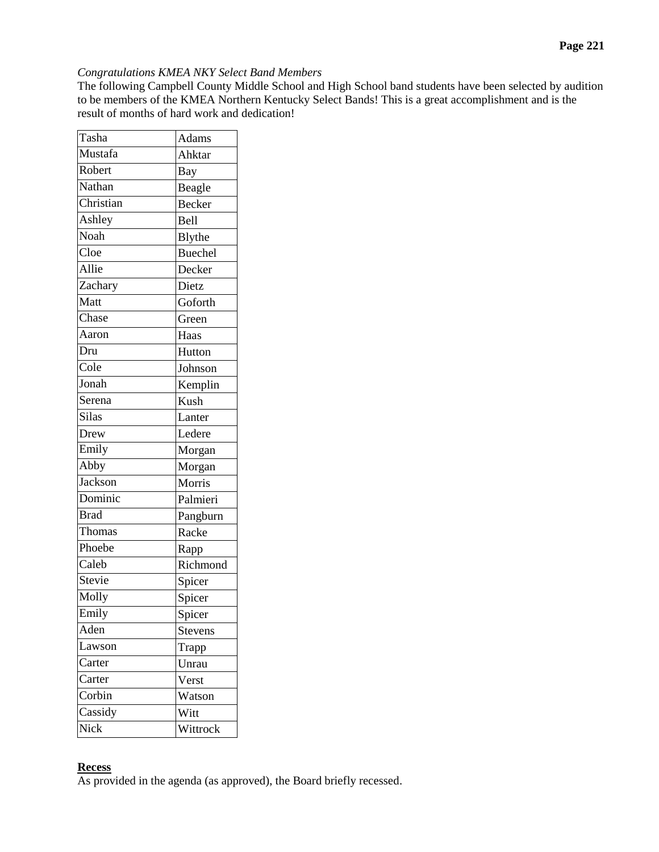## *[Congratulations KMEA NKY Select Band Members](http://www.campbellcountyschools.org/News/55103)*

The following Campbell County Middle School and High School band students have been selected by audition to be members of the KMEA Northern Kentucky Select Bands! This is a great accomplishment and is the result of months of hard work and dedication!

| Tasha                    | Adams          |
|--------------------------|----------------|
| Mustafa                  | Ahktar         |
| Robert                   | Bay            |
| Nathan                   | Beagle         |
| Christian                | Becker         |
| Ashley                   | Bell           |
| $\overline{\text{Noah}}$ | Blythe         |
| Cl <sub>oe</sub>         | <b>Buechel</b> |
| Allie                    | Decker         |
| Zachary                  | Dietz          |
| Matt                     | Goforth        |
| Chase                    | Green          |
| Aaron                    | Haas           |
| Dru                      | Hutton         |
| Cole                     | Johnson        |
| Jonah                    | Kemplin        |
| Serena                   | Kush           |
| Silas                    | Lanter         |
| Drew                     | Ledere         |
| Emily                    | Morgan         |
| Abby                     | Morgan         |
| Jackson                  | Morris         |
| Dominic                  | Palmieri       |
| <b>Brad</b>              | Pangburn       |
| Thomas                   | Racke          |
| Phoebe                   | Rapp           |
| Caleb                    | Richmond       |
| Stevie                   | Spicer         |
| Molly                    | Spicer         |
| Emily                    | Spicer         |
| Aden                     | <b>Stevens</b> |
| Lawson                   | Trapp          |
| Carter                   | Unrau          |
| Carter                   | Verst          |
| Corbin                   | Watson         |
| Cassidy                  | Witt           |
| Nick                     | Wittrock       |

## **Recess**

As provided in the agenda (as approved), the Board briefly recessed.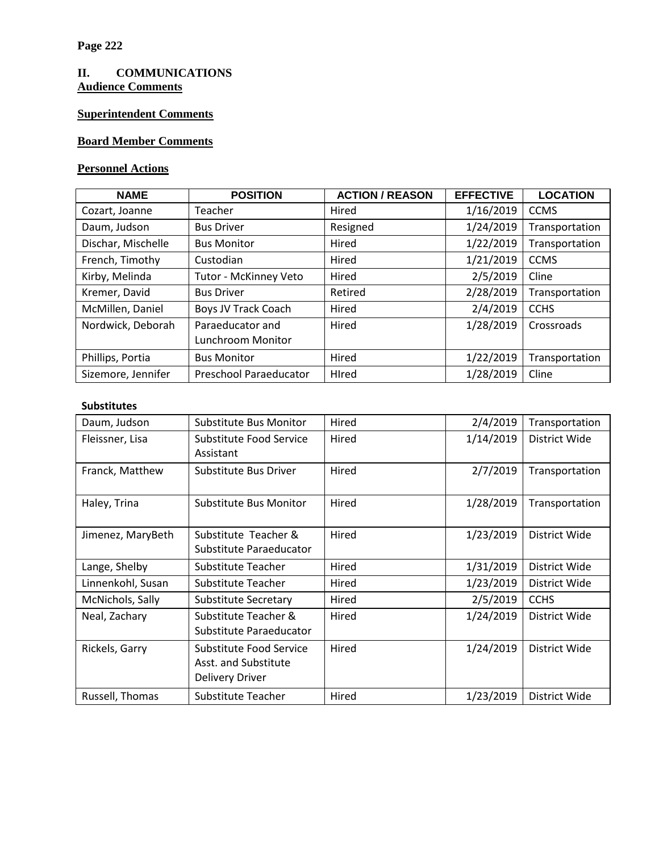# **II. COMMUNICATIONS Audience Comments**

# **Superintendent Comments**

# **Board Member Comments**

# **Personnel Actions**

| <b>NAME</b>        | <b>POSITION</b>               | <b>ACTION / REASON</b> | <b>EFFECTIVE</b> | <b>LOCATION</b> |
|--------------------|-------------------------------|------------------------|------------------|-----------------|
| Cozart, Joanne     | Teacher                       | Hired                  | 1/16/2019        | <b>CCMS</b>     |
| Daum, Judson       | <b>Bus Driver</b>             | Resigned               | 1/24/2019        | Transportation  |
| Dischar, Mischelle | <b>Bus Monitor</b>            | Hired                  | 1/22/2019        | Transportation  |
| French, Timothy    | Custodian                     | Hired                  | 1/21/2019        | <b>CCMS</b>     |
| Kirby, Melinda     | Tutor - McKinney Veto         | Hired                  | 2/5/2019         | Cline           |
| Kremer, David      | <b>Bus Driver</b>             | Retired                | 2/28/2019        | Transportation  |
| McMillen, Daniel   | <b>Boys JV Track Coach</b>    | Hired                  | 2/4/2019         | <b>CCHS</b>     |
| Nordwick, Deborah  | Paraeducator and              | Hired                  | 1/28/2019        | Crossroads      |
|                    | Lunchroom Monitor             |                        |                  |                 |
| Phillips, Portia   | <b>Bus Monitor</b>            | Hired                  | 1/22/2019        | Transportation  |
| Sizemore, Jennifer | <b>Preschool Paraeducator</b> | Hired                  | 1/28/2019        | Cline           |

## **Substitutes**

| Daum, Judson      | Hired<br>Substitute Bus Monitor                                           |       | 2/4/2019  | Transportation |
|-------------------|---------------------------------------------------------------------------|-------|-----------|----------------|
| Fleissner, Lisa   | Substitute Food Service<br>Hired                                          |       | 1/14/2019 | District Wide  |
|                   | Assistant                                                                 |       |           |                |
| Franck, Matthew   | Substitute Bus Driver                                                     | Hired | 2/7/2019  | Transportation |
| Haley, Trina      | Substitute Bus Monitor                                                    | Hired | 1/28/2019 | Transportation |
| Jimenez, MaryBeth | Substitute Teacher &<br>Substitute Paraeducator                           | Hired | 1/23/2019 | District Wide  |
| Lange, Shelby     | Substitute Teacher                                                        | Hired | 1/31/2019 | District Wide  |
| Linnenkohl, Susan | Substitute Teacher                                                        | Hired | 1/23/2019 | District Wide  |
| McNichols, Sally  | <b>Substitute Secretary</b>                                               | Hired | 2/5/2019  | <b>CCHS</b>    |
| Neal, Zachary     | Substitute Teacher &<br>Substitute Paraeducator                           | Hired | 1/24/2019 | District Wide  |
| Rickels, Garry    | Substitute Food Service<br>Asst. and Substitute<br><b>Delivery Driver</b> | Hired | 1/24/2019 | District Wide  |
| Russell, Thomas   | Substitute Teacher                                                        | Hired | 1/23/2019 | District Wide  |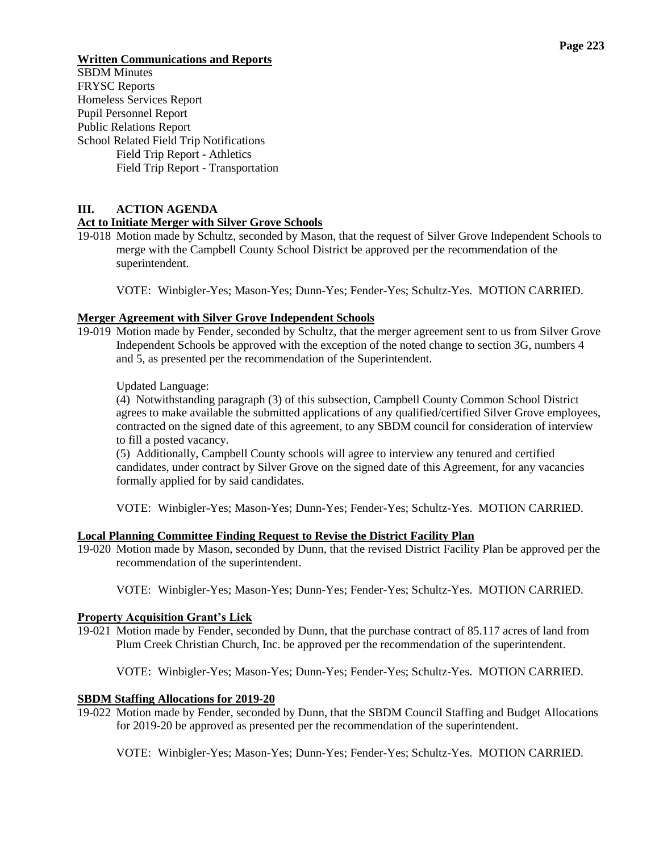### **Page 223**

## **Written Communications and Reports**

SBDM Minutes FRYSC Reports Homeless Services Report Pupil Personnel Report Public Relations Report School Related Field Trip Notifications Field Trip Report - Athletics Field Trip Report - Transportation

## **III. ACTION AGENDA**

## **Act to Initiate Merger with Silver Grove Schools**

19-018 Motion made by Schultz, seconded by Mason, that the request of Silver Grove Independent Schools to merge with the Campbell County School District be approved per the recommendation of the superintendent.

VOTE: Winbigler-Yes; Mason-Yes; Dunn-Yes; Fender-Yes; Schultz-Yes. MOTION CARRIED.

### **Merger Agreement with Silver Grove Independent Schools**

19-019 Motion made by Fender, seconded by Schultz, that the merger agreement sent to us from Silver Grove Independent Schools be approved with the exception of the noted change to section 3G, numbers 4 and 5, as presented per the recommendation of the Superintendent.

Updated Language:

(4) Notwithstanding paragraph (3) of this subsection, Campbell County Common School District agrees to make available the submitted applications of any qualified/certified Silver Grove employees, contracted on the signed date of this agreement, to any SBDM council for consideration of interview to fill a posted vacancy.

(5) Additionally, Campbell County schools will agree to interview any tenured and certified candidates, under contract by Silver Grove on the signed date of this Agreement, for any vacancies formally applied for by said candidates.

VOTE: Winbigler-Yes; Mason-Yes; Dunn-Yes; Fender-Yes; Schultz-Yes. MOTION CARRIED.

#### **Local Planning Committee Finding Request to Revise the District Facility Plan**

19-020 Motion made by Mason, seconded by Dunn, that the revised District Facility Plan be approved per the recommendation of the superintendent.

VOTE: Winbigler-Yes; Mason-Yes; Dunn-Yes; Fender-Yes; Schultz-Yes. MOTION CARRIED.

#### **Property Acquisition Grant's Lick**

19-021 Motion made by Fender, seconded by Dunn, that the purchase contract of 85.117 acres of land from Plum Creek Christian Church, Inc. be approved per the recommendation of the superintendent.

VOTE: Winbigler-Yes; Mason-Yes; Dunn-Yes; Fender-Yes; Schultz-Yes. MOTION CARRIED.

## **SBDM Staffing Allocations for 2019-20**

19-022 Motion made by Fender, seconded by Dunn, that the SBDM Council Staffing and Budget Allocations for 2019-20 be approved as presented per the recommendation of the superintendent.

VOTE: Winbigler-Yes; Mason-Yes; Dunn-Yes; Fender-Yes; Schultz-Yes. MOTION CARRIED.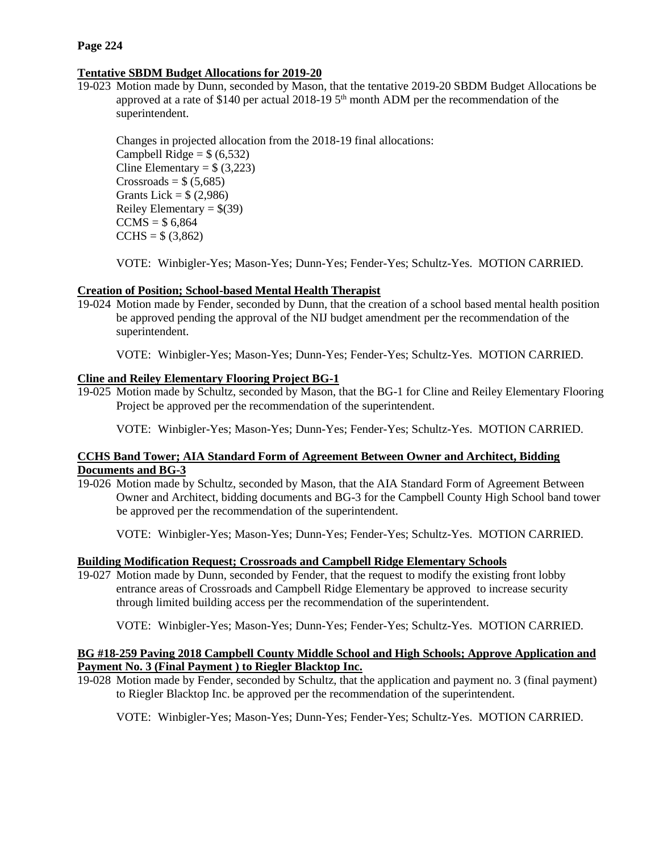# **Tentative SBDM Budget Allocations for 2019-20**

19-023 Motion made by Dunn, seconded by Mason, that the tentative 2019-20 SBDM Budget Allocations be approved at a rate of \$140 per actual 2018-19  $5<sup>th</sup>$  month ADM per the recommendation of the superintendent.

Changes in projected allocation from the 2018-19 final allocations:

Campbell Ridge =  $$(6,532)$ Cline Elementary =  $$ (3,223)$  $Crossroads = $ (5,685)$ Grants Lick =  $$(2,986)$ Reiley Elementary =  $$(39)$  $CCMS = $ 6,864$  $CCHS = $ (3,862)$ 

VOTE: Winbigler-Yes; Mason-Yes; Dunn-Yes; Fender-Yes; Schultz-Yes. MOTION CARRIED.

# **Creation of Position; School-based Mental Health Therapist**

19-024 Motion made by Fender, seconded by Dunn, that the creation of a school based mental health position be approved pending the approval of the NIJ budget amendment per the recommendation of the superintendent.

VOTE: Winbigler-Yes; Mason-Yes; Dunn-Yes; Fender-Yes; Schultz-Yes. MOTION CARRIED.

# **Cline and Reiley Elementary Flooring Project BG-1**

19-025 Motion made by Schultz, seconded by Mason, that the BG-1 for Cline and Reiley Elementary Flooring Project be approved per the recommendation of the superintendent.

VOTE: Winbigler-Yes; Mason-Yes; Dunn-Yes; Fender-Yes; Schultz-Yes. MOTION CARRIED.

# **CCHS Band Tower; AIA Standard Form of Agreement Between Owner and Architect, Bidding Documents and BG-3**

19-026 Motion made by Schultz, seconded by Mason, that the AIA Standard Form of Agreement Between Owner and Architect, bidding documents and BG-3 for the Campbell County High School band tower be approved per the recommendation of the superintendent.

VOTE: Winbigler-Yes; Mason-Yes; Dunn-Yes; Fender-Yes; Schultz-Yes. MOTION CARRIED.

# **Building Modification Request; Crossroads and Campbell Ridge Elementary Schools**

19-027 Motion made by Dunn, seconded by Fender, that the request to modify the existing front lobby entrance areas of Crossroads and Campbell Ridge Elementary be approved to increase security through limited building access per the recommendation of the superintendent.

VOTE: Winbigler-Yes; Mason-Yes; Dunn-Yes; Fender-Yes; Schultz-Yes. MOTION CARRIED.

# **BG #18-259 Paving 2018 Campbell County Middle School and High Schools; Approve Application and Payment No. 3 (Final Payment ) to Riegler Blacktop Inc.**

19-028 Motion made by Fender, seconded by Schultz, that the application and payment no. 3 (final payment) to Riegler Blacktop Inc. be approved per the recommendation of the superintendent.

VOTE: Winbigler-Yes; Mason-Yes; Dunn-Yes; Fender-Yes; Schultz-Yes. MOTION CARRIED.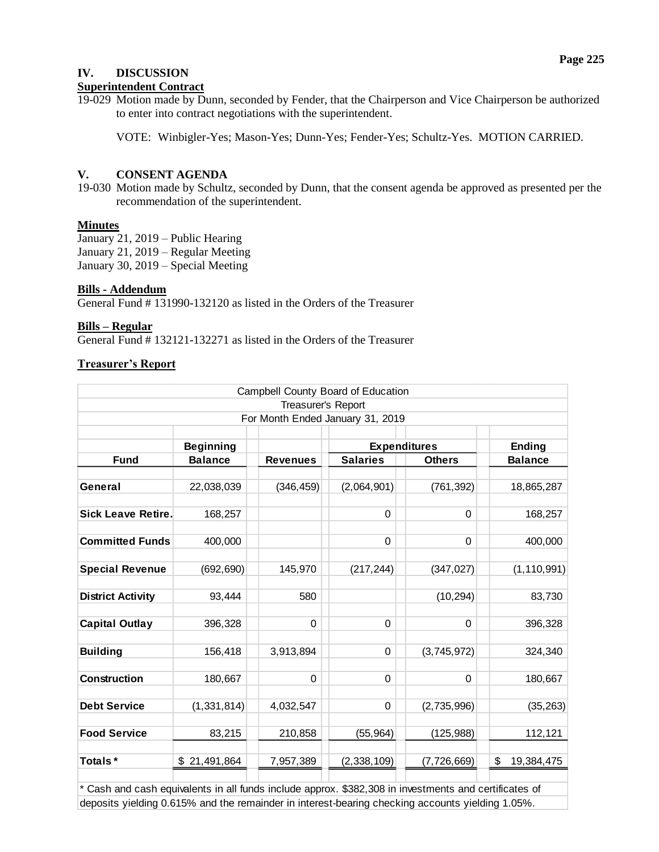## **IV. DISCUSSION**

## **Superintendent Contract**

19-029 Motion made by Dunn, seconded by Fender, that the Chairperson and Vice Chairperson be authorized to enter into contract negotiations with the superintendent.

VOTE: Winbigler-Yes; Mason-Yes; Dunn-Yes; Fender-Yes; Schultz-Yes. MOTION CARRIED.

## **V. CONSENT AGENDA**

19-030 Motion made by Schultz, seconded by Dunn, that the consent agenda be approved as presented per the recommendation of the superintendent.

## **Minutes**

January 21, 2019 – Public Hearing January 21, 2019 – Regular Meeting January 30, 2019 – Special Meeting

## **Bills - Addendum**

General Fund # 131990-132120 as listed in the Orders of the Treasurer

### **Bills – Regular**

General Fund # 132121-132271 as listed in the Orders of the Treasurer

## **Treasurer's Report**

|                           |                  |                    | Campbell County Board of Education |               |                  |
|---------------------------|------------------|--------------------|------------------------------------|---------------|------------------|
|                           |                  | Treasurer's Report |                                    |               |                  |
|                           |                  |                    | For Month Ended January 31, 2019   |               |                  |
|                           |                  |                    |                                    |               |                  |
|                           | <b>Beginning</b> |                    | <b>Expenditures</b>                |               | Ending           |
| <b>Fund</b>               | <b>Balance</b>   | <b>Revenues</b>    | <b>Salaries</b>                    | <b>Others</b> | <b>Balance</b>   |
| General                   | 22,038,039       | (346, 459)         | (2,064,901)                        | (761, 392)    | 18,865,287       |
| <b>Sick Leave Retire.</b> | 168,257          |                    | $\mathbf 0$                        | $\Omega$      | 168,257          |
| <b>Committed Funds</b>    | 400,000          |                    | 0                                  | $\Omega$      | 400,000          |
| <b>Special Revenue</b>    | (692, 690)       | 145,970            | (217, 244)                         | (347, 027)    | (1, 110, 991)    |
| <b>District Activity</b>  | 93,444           | 580                |                                    | (10, 294)     | 83,730           |
| <b>Capital Outlay</b>     | 396,328          | $\Omega$           | $\mathbf 0$                        | 0             | 396,328          |
| <b>Building</b>           | 156,418          | 3,913,894          | 0                                  | (3,745,972)   | 324,340          |
| Construction              | 180,667          | $\Omega$           | 0                                  | $\Omega$      | 180,667          |
| <b>Debt Service</b>       | (1, 331, 814)    | 4,032,547          | 0                                  | (2,735,996)   | (35, 263)        |
| <b>Food Service</b>       | 83,215           | 210,858            | (55, 964)                          | (125, 988)    | 112,121          |
| Totals*                   | \$21,491,864     | 7,957,389          | (2,338,109)                        | (7, 726, 669) | \$<br>19,384,475 |

\* Cash and cash equivalents in all funds include approx. \$382,308 in investments and certificates of deposits yielding 0.615% and the remainder in interest-bearing checking accounts yielding 1.05%.